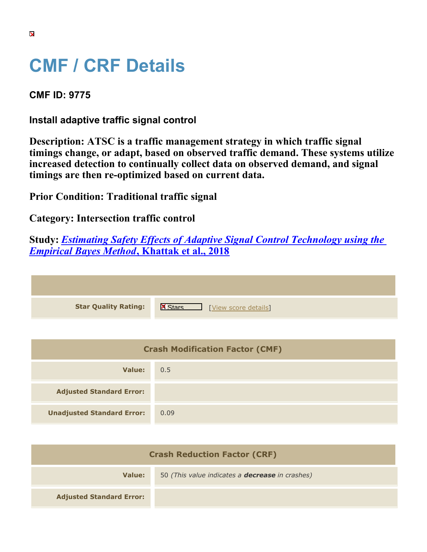## **CMF / CRF Details**

**CMF ID: 9775**

**Install adaptive traffic signal control**

**Description: ATSC is a traffic management strategy in which traffic signal timings change, or adapt, based on observed traffic demand. These systems utilize increased detection to continually collect data on observed demand, and signal timings are then re-optimized based on current data.**

**Prior Condition: Traditional traffic signal**

**Category: Intersection traffic control**

**Study:** *[Estimating Safety Effects of Adaptive Signal Control Technology using the](https://cmfclearinghouse.org/study_detail.cfm?stid=545) [Empirical Bayes Method](https://cmfclearinghouse.org/study_detail.cfm?stid=545)***[, Khattak et al., 2018](https://cmfclearinghouse.org/study_detail.cfm?stid=545)**

| <b>Star Quality Rating:</b> | $\mathsf{K}$<br>[View score details] |
|-----------------------------|--------------------------------------|

| <b>Crash Modification Factor (CMF)</b> |      |
|----------------------------------------|------|
| Value:                                 | 0.5  |
| <b>Adjusted Standard Error:</b>        |      |
| <b>Unadjusted Standard Error:</b>      | 0.09 |

| <b>Crash Reduction Factor (CRF)</b> |                                                        |
|-------------------------------------|--------------------------------------------------------|
| Value:                              | 50 (This value indicates a <b>decrease</b> in crashes) |
| <b>Adjusted Standard Error:</b>     |                                                        |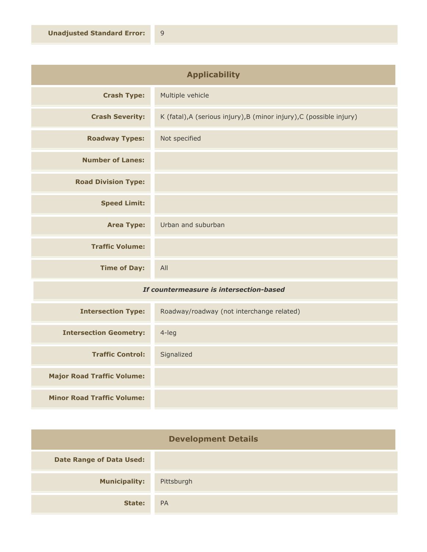| <b>Applicability</b>                    |                                                                      |
|-----------------------------------------|----------------------------------------------------------------------|
| <b>Crash Type:</b>                      | Multiple vehicle                                                     |
| <b>Crash Severity:</b>                  | K (fatal), A (serious injury), B (minor injury), C (possible injury) |
| <b>Roadway Types:</b>                   | Not specified                                                        |
| <b>Number of Lanes:</b>                 |                                                                      |
| <b>Road Division Type:</b>              |                                                                      |
| <b>Speed Limit:</b>                     |                                                                      |
| <b>Area Type:</b>                       | Urban and suburban                                                   |
| <b>Traffic Volume:</b>                  |                                                                      |
| <b>Time of Day:</b>                     | All                                                                  |
| If countermeasure is intersection-based |                                                                      |

## *If countermeasure is intersection-based*

| <b>Intersection Type:</b>         | Roadway/roadway (not interchange related) |
|-----------------------------------|-------------------------------------------|
| <b>Intersection Geometry:</b>     | $4$ -leg                                  |
| <b>Traffic Control:</b>           | Signalized                                |
| <b>Major Road Traffic Volume:</b> |                                           |
| <b>Minor Road Traffic Volume:</b> |                                           |

| <b>Development Details</b>      |            |
|---------------------------------|------------|
| <b>Date Range of Data Used:</b> |            |
| <b>Municipality:</b>            | Pittsburgh |
| State:                          | <b>PA</b>  |